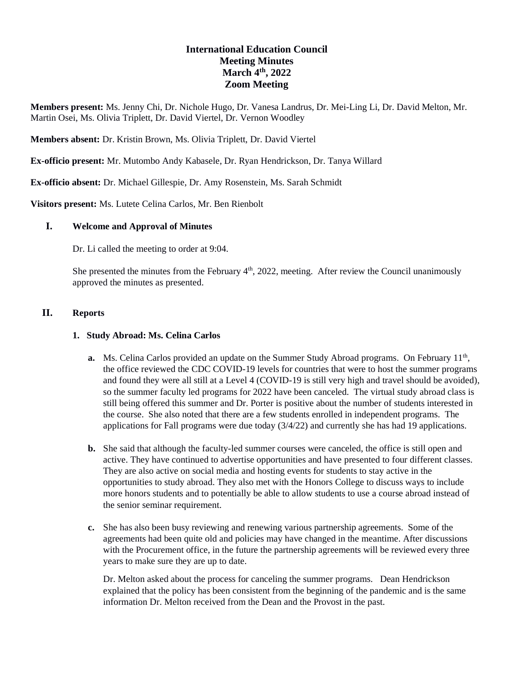# **International Education Council Meeting Minutes March 4 th , 2022 Zoom Meeting**

**Members present:** Ms. Jenny Chi, Dr. Nichole Hugo, Dr. Vanesa Landrus, Dr. Mei-Ling Li, Dr. David Melton, Mr. Martin Osei, Ms. Olivia Triplett, Dr. David Viertel, Dr. Vernon Woodley

**Members absent:** Dr. Kristin Brown, Ms. Olivia Triplett, Dr. David Viertel

**Ex-officio present:** Mr. Mutombo Andy Kabasele, Dr. Ryan Hendrickson, Dr. Tanya Willard

**Ex-officio absent:** Dr. Michael Gillespie, Dr. Amy Rosenstein, Ms. Sarah Schmidt

**Visitors present:** Ms. Lutete Celina Carlos, Mr. Ben Rienbolt

## **I. Welcome and Approval of Minutes**

Dr. Li called the meeting to order at 9:04.

She presented the minutes from the February  $4<sup>th</sup>$ , 2022, meeting. After review the Council unanimously approved the minutes as presented.

#### **II. Reports**

#### **1. Study Abroad: Ms. Celina Carlos**

- a. Ms. Celina Carlos provided an update on the Summer Study Abroad programs. On February 11<sup>th</sup>, the office reviewed the CDC COVID-19 levels for countries that were to host the summer programs and found they were all still at a Level 4 (COVID-19 is still very high and travel should be avoided), so the summer faculty led programs for 2022 have been canceled. The virtual study abroad class is still being offered this summer and Dr. Porter is positive about the number of students interested in the course. She also noted that there are a few students enrolled in independent programs. The applications for Fall programs were due today  $(3/4/22)$  and currently she has had 19 applications.
- **b.** She said that although the faculty-led summer courses were canceled, the office is still open and active. They have continued to advertise opportunities and have presented to four different classes. They are also active on social media and hosting events for students to stay active in the opportunities to study abroad. They also met with the Honors College to discuss ways to include more honors students and to potentially be able to allow students to use a course abroad instead of the senior seminar requirement.
- **c.** She has also been busy reviewing and renewing various partnership agreements. Some of the agreements had been quite old and policies may have changed in the meantime. After discussions with the Procurement office, in the future the partnership agreements will be reviewed every three years to make sure they are up to date.

Dr. Melton asked about the process for canceling the summer programs. Dean Hendrickson explained that the policy has been consistent from the beginning of the pandemic and is the same information Dr. Melton received from the Dean and the Provost in the past.